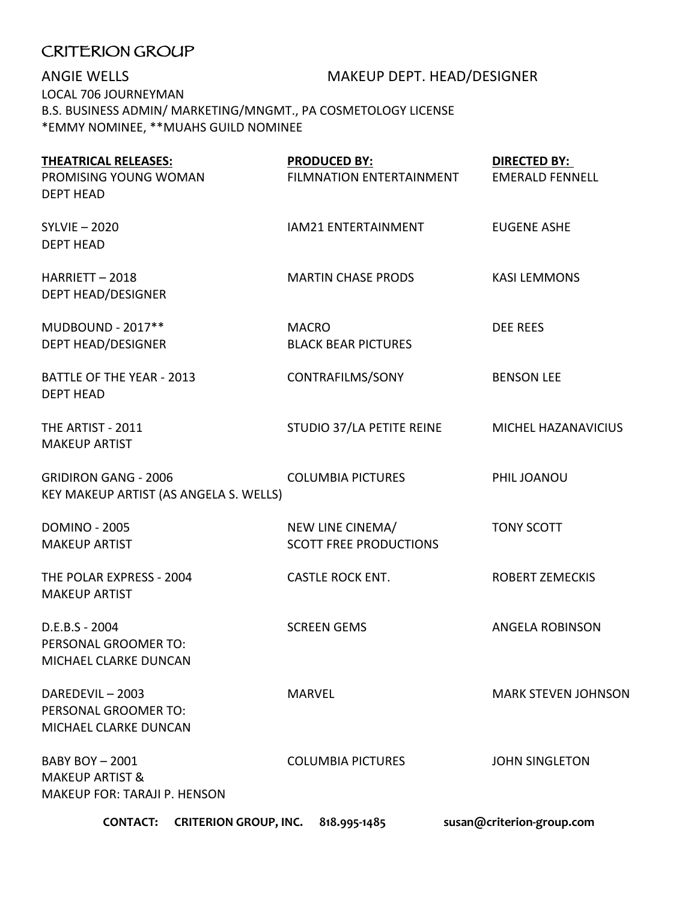## CRITERION GROUP

ANGIE WELLS MAKEUP DEPT. HEAD/DESIGNER LOCAL 706 JOURNEYMAN B.S. BUSINESS ADMIN/ MARKETING/MNGMT., PA COSMETOLOGY LICENSE \*EMMY NOMINEE, \*\*MUAHS GUILD NOMINEE

| <b>THEATRICAL RELEASES:</b>                                                               | <b>PRODUCED BY:</b>                               | <b>DIRECTED BY:</b>        |
|-------------------------------------------------------------------------------------------|---------------------------------------------------|----------------------------|
| PROMISING YOUNG WOMAN<br><b>DEPT HEAD</b>                                                 | FILMNATION ENTERTAINMENT                          | <b>EMERALD FENNELL</b>     |
| <b>SYLVIE-2020</b><br><b>DEPT HEAD</b>                                                    | IAM21 ENTERTAINMENT                               | <b>EUGENE ASHE</b>         |
| HARRIETT-2018<br><b>DEPT HEAD/DESIGNER</b>                                                | <b>MARTIN CHASE PRODS</b>                         | <b>KASI LEMMONS</b>        |
| MUDBOUND - 2017**<br><b>DEPT HEAD/DESIGNER</b>                                            | <b>MACRO</b><br><b>BLACK BEAR PICTURES</b>        | <b>DEE REES</b>            |
| <b>BATTLE OF THE YEAR - 2013</b><br><b>DEPT HEAD</b>                                      | CONTRAFILMS/SONY                                  | <b>BENSON LEE</b>          |
| THE ARTIST - 2011<br><b>MAKEUP ARTIST</b>                                                 | STUDIO 37/LA PETITE REINE                         | MICHEL HAZANAVICIUS        |
| <b>GRIDIRON GANG - 2006</b><br>KEY MAKEUP ARTIST (AS ANGELA S. WELLS)                     | <b>COLUMBIA PICTURES</b>                          | PHIL JOANOU                |
| <b>DOMINO - 2005</b><br><b>MAKEUP ARTIST</b>                                              | NEW LINE CINEMA/<br><b>SCOTT FREE PRODUCTIONS</b> | <b>TONY SCOTT</b>          |
| THE POLAR EXPRESS - 2004<br><b>MAKEUP ARTIST</b>                                          | <b>CASTLE ROCK ENT.</b>                           | <b>ROBERT ZEMECKIS</b>     |
| D.E.B.S - 2004<br>PERSONAL GROOMER TO:<br>MICHAEL CLARKE DUNCAN                           | <b>SCREEN GEMS</b>                                | <b>ANGELA ROBINSON</b>     |
| DAREDEVIL-2003<br>PERSONAL GROOMER TO:<br>MICHAEL CLARKE DUNCAN                           | <b>MARVEL</b>                                     | <b>MARK STEVEN JOHNSON</b> |
| <b>BABY BOY-2001</b><br><b>MAKEUP ARTIST &amp;</b><br><b>MAKEUP FOR: TARAJI P. HENSON</b> | <b>COLUMBIA PICTURES</b>                          | <b>JOHN SINGLETON</b>      |
| <b>CONTACT:</b>                                                                           | CRITERION GROUP, INC. 818.995-1485                | susan@criterion-group.com  |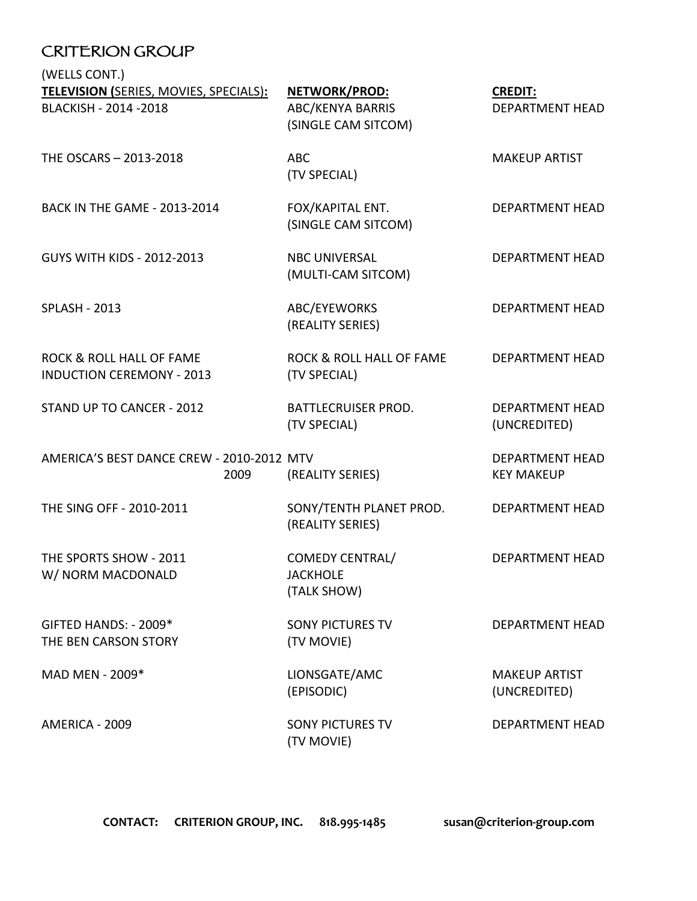## CRITERION GROUP

(WELLS CONT.)

| <b>TELEVISION (SERIES, MOVIES, SPECIALS):</b><br>BLACKISH - 2014 - 2018 | NETWORK/PROD:<br><b>ABC/KENYA BARRIS</b><br>(SINGLE CAM SITCOM) | <b>CREDIT:</b><br><b>DEPARTMENT HEAD</b>    |
|-------------------------------------------------------------------------|-----------------------------------------------------------------|---------------------------------------------|
| THE OSCARS - 2013-2018                                                  | <b>ABC</b><br>(TV SPECIAL)                                      | <b>MAKEUP ARTIST</b>                        |
| <b>BACK IN THE GAME - 2013-2014</b>                                     | FOX/KAPITAL ENT.<br>(SINGLE CAM SITCOM)                         | <b>DEPARTMENT HEAD</b>                      |
| <b>GUYS WITH KIDS - 2012-2013</b>                                       | <b>NBC UNIVERSAL</b><br>(MULTI-CAM SITCOM)                      | <b>DEPARTMENT HEAD</b>                      |
| <b>SPLASH - 2013</b>                                                    | ABC/EYEWORKS<br>(REALITY SERIES)                                | DEPARTMENT HEAD                             |
| <b>ROCK &amp; ROLL HALL OF FAME</b><br><b>INDUCTION CEREMONY - 2013</b> | ROCK & ROLL HALL OF FAME<br>(TV SPECIAL)                        | <b>DEPARTMENT HEAD</b>                      |
| STAND UP TO CANCER - 2012                                               | <b>BATTLECRUISER PROD.</b><br>(TV SPECIAL)                      | <b>DEPARTMENT HEAD</b><br>(UNCREDITED)      |
| AMERICA'S BEST DANCE CREW - 2010-2012 MTV<br>2009                       | (REALITY SERIES)                                                | <b>DEPARTMENT HEAD</b><br><b>KEY MAKEUP</b> |
| THE SING OFF - 2010-2011                                                | SONY/TENTH PLANET PROD.<br>(REALITY SERIES)                     | <b>DEPARTMENT HEAD</b>                      |
| THE SPORTS SHOW - 2011<br>W/ NORM MACDONALD                             | <b>COMEDY CENTRAL/</b><br><b>JACKHOLE</b><br>(TALK SHOW)        | <b>DEPARTMENT HEAD</b>                      |
| GIFTED HANDS: - 2009*<br>THE BEN CARSON STORY                           | <b>SONY PICTURES TV</b><br>(TV MOVIE)                           | <b>DEPARTMENT HEAD</b>                      |
| MAD MEN - 2009*                                                         | LIONSGATE/AMC<br>(EPISODIC)                                     | <b>MAKEUP ARTIST</b><br>(UNCREDITED)        |
| AMERICA - 2009                                                          | <b>SONY PICTURES TV</b><br>(TV MOVIE)                           | DEPARTMENT HEAD                             |